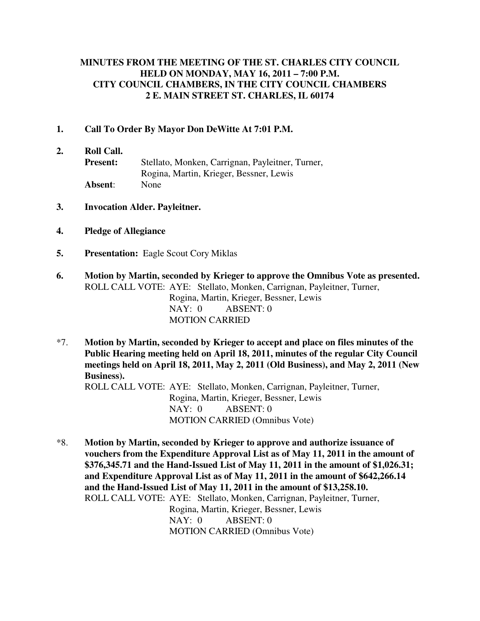#### **MINUTES FROM THE MEETING OF THE ST. CHARLES CITY COUNCIL HELD ON MONDAY, MAY 16, 2011 – 7:00 P.M. CITY COUNCIL CHAMBERS, IN THE CITY COUNCIL CHAMBERS 2 E. MAIN STREET ST. CHARLES, IL 60174**

#### **1. Call To Order By Mayor Don DeWitte At 7:01 P.M.**

- **2. Roll Call.**  Present: Stellato, Monken, Carrignan, Payleitner, Turner, Rogina, Martin, Krieger, Bessner, Lewis **Absent**: None
- **3. Invocation Alder. Payleitner.**
- **4. Pledge of Allegiance**
- **5. Presentation:** Eagle Scout Cory Miklas
- **6. Motion by Martin, seconded by Krieger to approve the Omnibus Vote as presented.** ROLL CALL VOTE: AYE: Stellato, Monken, Carrignan, Payleitner, Turner, Rogina, Martin, Krieger, Bessner, Lewis NAY: 0 ABSENT: 0 MOTION CARRIED
- \*7. **Motion by Martin, seconded by Krieger to accept and place on files minutes of the Public Hearing meeting held on April 18, 2011, minutes of the regular City Council meetings held on April 18, 2011, May 2, 2011 (Old Business), and May 2, 2011 (New Business).**  ROLL CALL VOTE: AYE: Stellato, Monken, Carrignan, Payleitner, Turner, Rogina, Martin, Krieger, Bessner, Lewis

 NAY: 0 ABSENT: 0 MOTION CARRIED (Omnibus Vote)

\*8. **Motion by Martin, seconded by Krieger to approve and authorize issuance of vouchers from the Expenditure Approval List as of May 11, 2011 in the amount of \$376,345.71 and the Hand-Issued List of May 11, 2011 in the amount of \$1,026.31; and Expenditure Approval List as of May 11, 2011 in the amount of \$642,266.14 and the Hand-Issued List of May 11, 2011 in the amount of \$13,258.10.**  ROLL CALL VOTE: AYE: Stellato, Monken, Carrignan, Payleitner, Turner, Rogina, Martin, Krieger, Bessner, Lewis NAY: 0 ABSENT: 0 MOTION CARRIED (Omnibus Vote)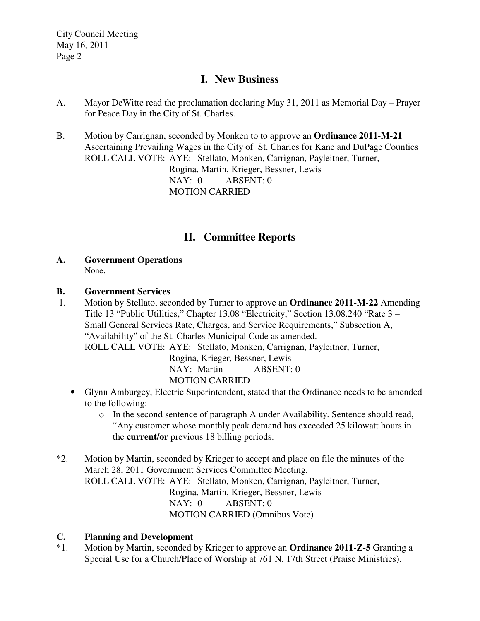City Council Meeting May 16, 2011 Page 2

## **I. New Business**

- A. Mayor DeWitte read the proclamation declaring May 31, 2011 as Memorial Day Prayer for Peace Day in the City of St. Charles.
- B. Motion by Carrignan, seconded by Monken to to approve an **Ordinance 2011-M-21**  Ascertaining Prevailing Wages in the City of St. Charles for Kane and DuPage Counties ROLL CALL VOTE: AYE: Stellato, Monken, Carrignan, Payleitner, Turner, Rogina, Martin, Krieger, Bessner, Lewis NAY: 0 ABSENT: 0 MOTION CARRIED

# **II. Committee Reports**

**A. Government Operations**  None.

#### **B. Government Services**

- 1. Motion by Stellato, seconded by Turner to approve an **Ordinance 2011-M-22** Amending Title 13 "Public Utilities," Chapter 13.08 "Electricity," Section 13.08.240 "Rate 3 – Small General Services Rate, Charges, and Service Requirements," Subsection A, "Availability" of the St. Charles Municipal Code as amended. ROLL CALL VOTE: AYE: Stellato, Monken, Carrignan, Payleitner, Turner, Rogina, Krieger, Bessner, Lewis NAY: Martin ABSENT: 0 MOTION CARRIED
	- Glynn Amburgey, Electric Superintendent, stated that the Ordinance needs to be amended to the following:
		- o In the second sentence of paragraph A under Availability. Sentence should read, "Any customer whose monthly peak demand has exceeded 25 kilowatt hours in the **current/or** previous 18 billing periods.
- \*2. Motion by Martin, seconded by Krieger to accept and place on file the minutes of the March 28, 2011 Government Services Committee Meeting. ROLL CALL VOTE: AYE: Stellato, Monken, Carrignan, Payleitner, Turner, Rogina, Martin, Krieger, Bessner, Lewis NAY: 0 ABSENT: 0 MOTION CARRIED (Omnibus Vote)

### **C. Planning and Development**

\*1. Motion by Martin, seconded by Krieger to approve an **Ordinance 2011-Z-5** Granting a Special Use for a Church/Place of Worship at 761 N. 17th Street (Praise Ministries).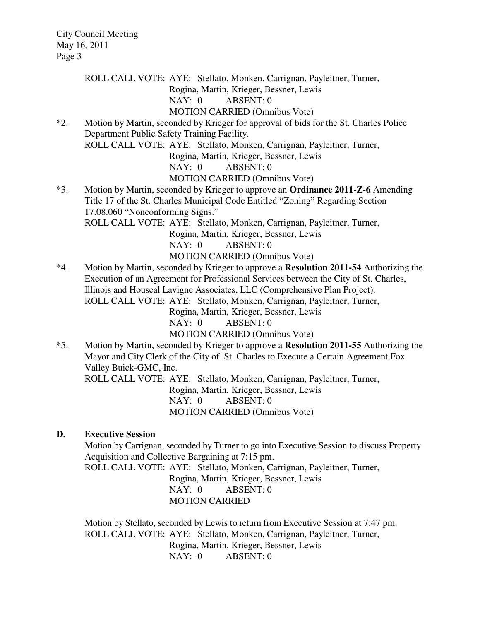City Council Meeting May 16, 2011 Page 3

ROLL CALL VOTE: AYE: Stellato, Monken, Carrignan, Payleitner, Turner,

Rogina, Martin, Krieger, Bessner, Lewis

NAY: 0 ABSENT: 0

MOTION CARRIED (Omnibus Vote)<br>\*2. Motion by Martin, seconded by Krieger for approval of bids f Motion by Martin, seconded by Krieger for approval of bids for the St. Charles Police Department Public Safety Training Facility. ROLL CALL VOTE: AYE: Stellato, Monken, Carrignan, Payleitner, Turner, Rogina, Martin, Krieger, Bessner, Lewis NAY: 0 ABSENT: 0

MOTION CARRIED (Omnibus Vote)

\*3. Motion by Martin, seconded by Krieger to approve an **Ordinance 2011-Z-6** Amending Title 17 of the St. Charles Municipal Code Entitled "Zoning" Regarding Section 17.08.060 "Nonconforming Signs."

ROLL CALL VOTE: AYE: Stellato, Monken, Carrignan, Payleitner, Turner, Rogina, Martin, Krieger, Bessner, Lewis

NAY: 0 ABSENT: 0

MOTION CARRIED (Omnibus Vote)

\*4. Motion by Martin, seconded by Krieger to approve a **Resolution 2011-54** Authorizing the Execution of an Agreement for Professional Services between the City of St. Charles, Illinois and Houseal Lavigne Associates, LLC (Comprehensive Plan Project). ROLL CALL VOTE: AYE: Stellato, Monken, Carrignan, Payleitner, Turner, Rogina, Martin, Krieger, Bessner, Lewis

NAY: 0 ABSENT: 0

MOTION CARRIED (Omnibus Vote)

\*5. Motion by Martin, seconded by Krieger to approve a **Resolution 2011-55** Authorizing the Mayor and City Clerk of the City of St. Charles to Execute a Certain Agreement Fox Valley Buick-GMC, Inc.

ROLL CALL VOTE: AYE: Stellato, Monken, Carrignan, Payleitner, Turner,

Rogina, Martin, Krieger, Bessner, Lewis NAY: 0 ABSENT: 0

MOTION CARRIED (Omnibus Vote)

#### **D. Executive Session**

 Motion by Carrignan, seconded by Turner to go into Executive Session to discuss Property Acquisition and Collective Bargaining at 7:15 pm.

ROLL CALL VOTE: AYE: Stellato, Monken, Carrignan, Payleitner, Turner, Rogina, Martin, Krieger, Bessner, Lewis NAY: 0 ABSENT: 0 MOTION CARRIED

 Motion by Stellato, seconded by Lewis to return from Executive Session at 7:47 pm. ROLL CALL VOTE: AYE: Stellato, Monken, Carrignan, Payleitner, Turner, Rogina, Martin, Krieger, Bessner, Lewis NAY: 0 ABSENT: 0